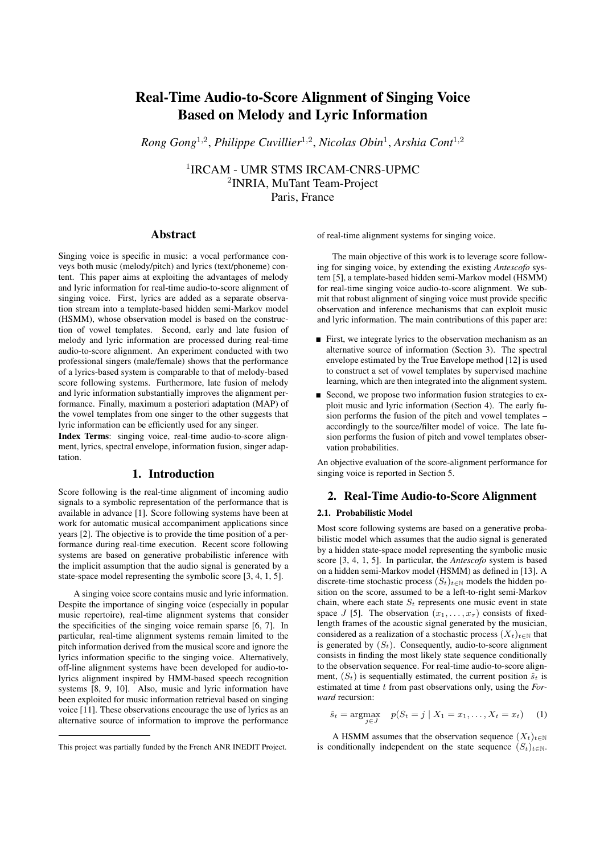# Real-Time Audio-to-Score Alignment of Singing Voice Based on Melody and Lyric Information

*Rong Gong*<sup>1</sup>,<sup>2</sup> , *Philippe Cuvillier*<sup>1</sup>,<sup>2</sup> , *Nicolas Obin*<sup>1</sup> , *Arshia Cont*<sup>1</sup>,<sup>2</sup>

1 IRCAM - UMR STMS IRCAM-CNRS-UPMC 2 INRIA, MuTant Team-Project Paris, France

### Abstract

Singing voice is specific in music: a vocal performance conveys both music (melody/pitch) and lyrics (text/phoneme) content. This paper aims at exploiting the advantages of melody and lyric information for real-time audio-to-score alignment of singing voice. First, lyrics are added as a separate observation stream into a template-based hidden semi-Markov model (HSMM), whose observation model is based on the construction of vowel templates. Second, early and late fusion of melody and lyric information are processed during real-time audio-to-score alignment. An experiment conducted with two professional singers (male/female) shows that the performance of a lyrics-based system is comparable to that of melody-based score following systems. Furthermore, late fusion of melody and lyric information substantially improves the alignment performance. Finally, maximum a posteriori adaptation (MAP) of the vowel templates from one singer to the other suggests that lyric information can be efficiently used for any singer.

Index Terms: singing voice, real-time audio-to-score alignment, lyrics, spectral envelope, information fusion, singer adaptation.

### 1. Introduction

Score following is the real-time alignment of incoming audio signals to a symbolic representation of the performance that is available in advance [1]. Score following systems have been at work for automatic musical accompaniment applications since years [2]. The objective is to provide the time position of a performance during real-time execution. Recent score following systems are based on generative probabilistic inference with the implicit assumption that the audio signal is generated by a state-space model representing the symbolic score [3, 4, 1, 5].

A singing voice score contains music and lyric information. Despite the importance of singing voice (especially in popular music repertoire), real-time alignment systems that consider the specificities of the singing voice remain sparse [6, 7]. In particular, real-time alignment systems remain limited to the pitch information derived from the musical score and ignore the lyrics information specific to the singing voice. Alternatively, off-line alignment systems have been developed for audio-tolyrics alignment inspired by HMM-based speech recognition systems [8, 9, 10]. Also, music and lyric information have been exploited for music information retrieval based on singing voice [11]. These observations encourage the use of lyrics as an alternative source of information to improve the performance of real-time alignment systems for singing voice.

The main objective of this work is to leverage score following for singing voice, by extending the existing *Antescofo* system [5], a template-based hidden semi-Markov model (HSMM) for real-time singing voice audio-to-score alignment. We submit that robust alignment of singing voice must provide specific observation and inference mechanisms that can exploit music and lyric information. The main contributions of this paper are:

- First, we integrate lyrics to the observation mechanism as an alternative source of information (Section 3). The spectral envelope estimated by the True Envelope method [12] is used to construct a set of vowel templates by supervised machine learning, which are then integrated into the alignment system.
- Second, we propose two information fusion strategies to exploit music and lyric information (Section 4). The early fusion performs the fusion of the pitch and vowel templates – accordingly to the source/filter model of voice. The late fusion performs the fusion of pitch and vowel templates observation probabilities.

An objective evaluation of the score-alignment performance for singing voice is reported in Section 5.

# 2. Real-Time Audio-to-Score Alignment

### 2.1. Probabilistic Model

Most score following systems are based on a generative probabilistic model which assumes that the audio signal is generated by a hidden state-space model representing the symbolic music score [3, 4, 1, 5]. In particular, the *Antescofo* system is based on a hidden semi-Markov model (HSMM) as defined in [13]. A discrete-time stochastic process  $(S_t)_{t \in \mathbb{N}}$  models the hidden position on the score, assumed to be a left-to-right semi-Markov chain, where each state  $S_t$  represents one music event in state space J [5]. The observation  $(x_1, \ldots, x_\tau)$  consists of fixedlength frames of the acoustic signal generated by the musician, considered as a realization of a stochastic process  $(X_t)_{t\in\mathbb{N}}$  that is generated by  $(S_t)$ . Consequently, audio-to-score alignment consists in finding the most likely state sequence conditionally to the observation sequence. For real-time audio-to-score alignment,  $(S_t)$  is sequentially estimated, the current position  $\hat{s}_t$  is estimated at time t from past observations only, using the *Forward* recursion:

$$
\hat{s}_t = \underset{j \in J}{\text{argmax}} \quad p(S_t = j \mid X_1 = x_1, \dots, X_t = x_t) \quad (1)
$$

A HSMM assumes that the observation sequence  $(X_t)_{t\in\mathbb{N}}$ is conditionally independent on the state sequence  $(S_t)_{t \in \mathbb{N}}$ .

This project was partially funded by the French ANR INEDIT Project.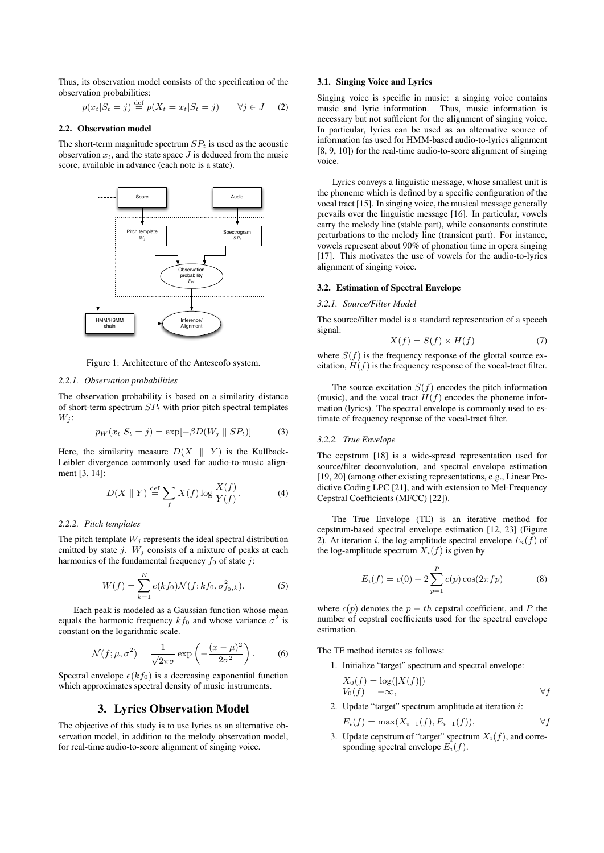Thus, its observation model consists of the specification of the observation probabilities:

$$
p(x_t|S_t = j) \stackrel{\text{def}}{=} p(X_t = x_t|S_t = j) \qquad \forall j \in J \quad (2)
$$

### 2.2. Observation model

The short-term magnitude spectrum  $SP<sub>t</sub>$  is used as the acoustic observation  $x_t$ , and the state space  $J$  is deduced from the music score, available in advance (each note is a state).



Figure 1: Architecture of the Antescofo system.

#### *2.2.1. Observation probabilities*

The observation probability is based on a similarity distance of short-term spectrum  $SP<sub>t</sub>$  with prior pitch spectral templates  $W_i$ :

$$
p_W(x_t|S_t = j) = \exp[-\beta D(W_j \parallel SP_t)] \tag{3}
$$

Here, the similarity measure  $D(X \parallel Y)$  is the Kullback-Leibler divergence commonly used for audio-to-music alignment [3, 14]:

$$
D(X \parallel Y) \stackrel{\text{def}}{=} \sum_{f} X(f) \log \frac{X(f)}{Y(f)}.
$$
 (4)

#### *2.2.2. Pitch templates*

The pitch template  $W_i$  represents the ideal spectral distribution emitted by state j.  $W_i$  consists of a mixture of peaks at each harmonics of the fundamental frequency  $f_0$  of state j:

$$
W(f) = \sum_{k=1}^{K} e(kf_0) \mathcal{N}(f; kf_0, \sigma_{f_0, k}^2).
$$
 (5)

Each peak is modeled as a Gaussian function whose mean equals the harmonic frequency  $kf_0$  and whose variance  $\sigma^2$  is constant on the logarithmic scale.

$$
\mathcal{N}(f; \mu, \sigma^2) = \frac{1}{\sqrt{2\pi}\sigma} \exp\left(-\frac{(x-\mu)^2}{2\sigma^2}\right). \tag{6}
$$

Spectral envelope  $e(kf_0)$  is a decreasing exponential function which approximates spectral density of music instruments.

# 3. Lyrics Observation Model

The objective of this study is to use lyrics as an alternative observation model, in addition to the melody observation model, for real-time audio-to-score alignment of singing voice.

#### 3.1. Singing Voice and Lyrics

Singing voice is specific in music: a singing voice contains music and lyric information. Thus, music information is necessary but not sufficient for the alignment of singing voice. In particular, lyrics can be used as an alternative source of information (as used for HMM-based audio-to-lyrics alignment [8, 9, 10]) for the real-time audio-to-score alignment of singing voice.

Lyrics conveys a linguistic message, whose smallest unit is the phoneme which is defined by a specific configuration of the vocal tract [15]. In singing voice, the musical message generally prevails over the linguistic message [16]. In particular, vowels carry the melody line (stable part), while consonants constitute perturbations to the melody line (transient part). For instance, vowels represent about 90% of phonation time in opera singing [17]. This motivates the use of vowels for the audio-to-lyrics alignment of singing voice.

### 3.2. Estimation of Spectral Envelope

#### *3.2.1. Source/Filter Model*

The source/filter model is a standard representation of a speech signal:

$$
X(f) = S(f) \times H(f) \tag{7}
$$

where  $S(f)$  is the frequency response of the glottal source excitation,  $H(f)$  is the frequency response of the vocal-tract filter.

The source excitation  $S(f)$  encodes the pitch information (music), and the vocal tract  $H(f)$  encodes the phoneme information (lyrics). The spectral envelope is commonly used to estimate of frequency response of the vocal-tract filter.

### *3.2.2. True Envelope*

The cepstrum [18] is a wide-spread representation used for source/filter deconvolution, and spectral envelope estimation [19, 20] (among other existing representations, e.g., Linear Predictive Coding LPC [21], and with extension to Mel-Frequency Cepstral Coefficients (MFCC) [22]).

The True Envelope (TE) is an iterative method for cepstrum-based spectral envelope estimation [12, 23] (Figure 2). At iteration i, the log-amplitude spectral envelope  $E_i(f)$  of the log-amplitude spectrum  $X_i(f)$  is given by

$$
E_i(f) = c(0) + 2\sum_{p=1}^{P} c(p)\cos(2\pi fp)
$$
 (8)

where  $c(p)$  denotes the  $p - th$  cepstral coefficient, and P the number of cepstral coefficients used for the spectral envelope estimation.

The TE method iterates as follows:

1. Initialize "target" spectrum and spectral envelope:

$$
X_0(f) = \log(|X(f)|)
$$
  
\n
$$
V_0(f) = -\infty,
$$
\n
$$
\forall f
$$

2. Update "target" spectrum amplitude at iteration i:

$$
E_i(f) = \max(X_{i-1}(f), E_{i-1}(f)), \qquad \forall f
$$

3. Update cepstrum of "target" spectrum  $X_i(f)$ , and corresponding spectral envelope  $E_i(f)$ .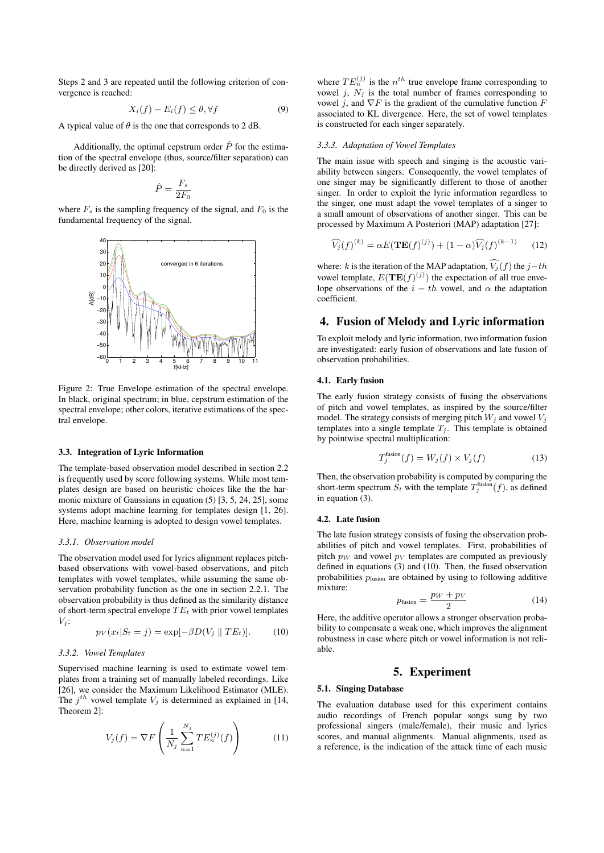Steps 2 and 3 are repeated until the following criterion of convergence is reached:

$$
X_i(f) - E_i(f) \le \theta, \forall f \tag{9}
$$

A typical value of  $\theta$  is the one that corresponds to 2 dB.

Additionally, the optimal cepstrum order  $\hat{P}$  for the estimation of the spectral envelope (thus, source/filter separation) can be directly derived as [20]:

$$
\hat{P}=\frac{F_s}{2F_0}
$$

where  $F_s$  is the sampling frequency of the signal, and  $F_0$  is the fundamental frequency of the signal.



Figure 2: True Envelope estimation of the spectral envelope. In black, original spectrum; in blue, cepstrum estimation of the spectral envelope; other colors, iterative estimations of the spectral envelope.

#### 3.3. Integration of Lyric Information

The template-based observation model described in section 2.2 is frequently used by score following systems. While most templates design are based on heuristic choices like the the harmonic mixture of Gaussians in equation (5) [3, 5, 24, 25], some systems adopt machine learning for templates design [1, 26]. Here, machine learning is adopted to design vowel templates.

#### *3.3.1. Observation model*

The observation model used for lyrics alignment replaces pitchbased observations with vowel-based observations, and pitch templates with vowel templates, while assuming the same observation probability function as the one in section 2.2.1. The observation probability is thus defined as the similarity distance of short-term spectral envelope  $TE_t$  with prior vowel templates  $V_i$ :

$$
p_V(x_t|S_t = j) = \exp[-\beta D(V_j \parallel TE_t)].\tag{10}
$$

#### *3.3.2. Vowel Templates*

Supervised machine learning is used to estimate vowel templates from a training set of manually labeled recordings. Like [26], we consider the Maximum Likelihood Estimator (MLE). The  $j^{th}$  vowel template  $V_j$  is determined as explained in [14, Theorem 2]:

$$
V_j(f) = \nabla F\left(\frac{1}{N_j} \sum_{n=1}^{N_j} TE_n^{(j)}(f)\right) \tag{11}
$$

where  $TE_n^{(j)}$  is the  $n^{th}$  true envelope frame corresponding to vowel j,  $N_i$  is the total number of frames corresponding to vowel j, and  $\nabla F$  is the gradient of the cumulative function  $F$ associated to KL divergence. Here, the set of vowel templates is constructed for each singer separately.

### *3.3.3. Adaptation of Vowel Templates*

The main issue with speech and singing is the acoustic variability between singers. Consequently, the vowel templates of one singer may be significantly different to those of another singer. In order to exploit the lyric information regardless to the singer, one must adapt the vowel templates of a singer to a small amount of observations of another singer. This can be processed by Maximum A Posteriori (MAP) adaptation [27]:

$$
\widehat{V}_j(f)^{(k)} = \alpha E(\mathbf{TE}(f)^{(j)}) + (1 - \alpha)\widehat{V}_j(f)^{(k-1)} \qquad (12)
$$

where: k is the iteration of the MAP adaptation,  $\widehat{V}_j(f)$  the j−th vowel template,  $E(\mathbf{TE}(f)^{(j)})$  the expectation of all true envelope observations of the  $i - th$  vowel, and  $\alpha$  the adaptation coefficient.

### 4. Fusion of Melody and Lyric information

To exploit melody and lyric information, two information fusion are investigated: early fusion of observations and late fusion of observation probabilities.

### 4.1. Early fusion

The early fusion strategy consists of fusing the observations of pitch and vowel templates, as inspired by the source/filter model. The strategy consists of merging pitch  $W_i$  and vowel  $V_i$ templates into a single template  $T_j$ . This template is obtained by pointwise spectral multiplication:

$$
T_j^{\text{fusion}}(f) = W_j(f) \times V_j(f) \tag{13}
$$

Then, the observation probability is computed by comparing the short-term spectrum  $\overline{S}_t$  with the template  $T_j^{\text{fusion}}(f)$ , as defined in equation (3).

### 4.2. Late fusion

The late fusion strategy consists of fusing the observation probabilities of pitch and vowel templates. First, probabilities of pitch  $p_W$  and vowel  $p_V$  templates are computed as previously defined in equations (3) and (10). Then, the fused observation probabilities  $p_{\text{fusion}}$  are obtained by using to following additive mixture:

$$
p_{\text{fusion}} = \frac{p_W + p_V}{2} \tag{14}
$$

Here, the additive operator allows a stronger observation probability to compensate a weak one, which improves the alignment robustness in case where pitch or vowel information is not reliable.

### 5. Experiment

#### 5.1. Singing Database

The evaluation database used for this experiment contains audio recordings of French popular songs sung by two professional singers (male/female), their music and lyrics scores, and manual alignments. Manual alignments, used as a reference, is the indication of the attack time of each music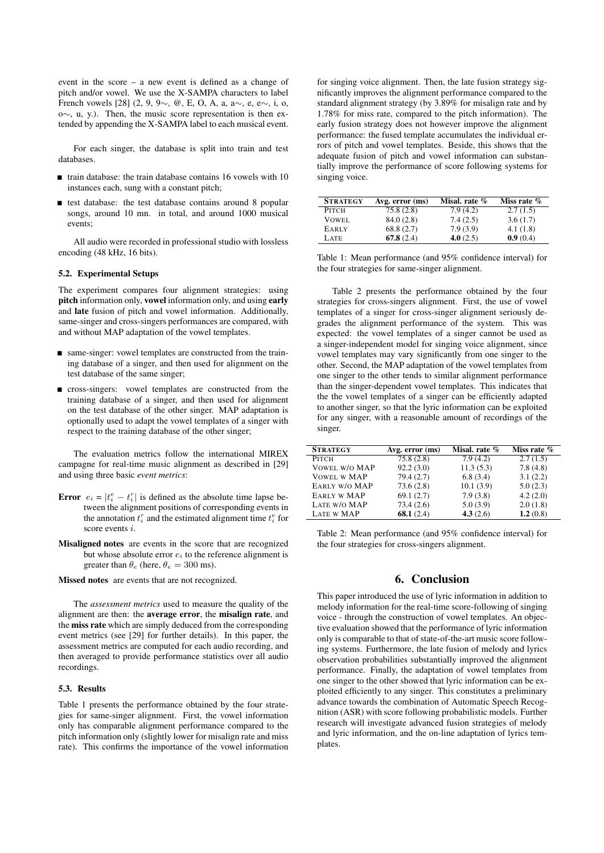event in the score – a new event is defined as a change of pitch and/or vowel. We use the X-SAMPA characters to label French vowels [28] (2, 9, 9∼, @, E, O, A, a, a∼, e, e∼, i, o, o∼, u, y.). Then, the music score representation is then extended by appending the X-SAMPA label to each musical event.

For each singer, the database is split into train and test databases.

- $\blacksquare$  train database: the train database contains 16 vowels with 10 instances each, sung with a constant pitch;
- $\blacksquare$  test database: the test database contains around 8 popular songs, around 10 mn. in total, and around 1000 musical events;

All audio were recorded in professional studio with lossless encoding (48 kHz, 16 bits).

### 5.2. Experimental Setups

The experiment compares four alignment strategies: using pitch information only, vowel information only, and using early and late fusion of pitch and vowel information. Additionally, same-singer and cross-singers performances are compared, with and without MAP adaptation of the vowel templates.

- same-singer: vowel templates are constructed from the training database of a singer, and then used for alignment on the test database of the same singer;
- cross-singers: vowel templates are constructed from the training database of a singer, and then used for alignment on the test database of the other singer. MAP adaptation is optionally used to adapt the vowel templates of a singer with respect to the training database of the other singer;

The evaluation metrics follow the international MIREX campagne for real-time music alignment as described in [29] and using three basic *event metrics*:

- **Error**  $e_i = |t_i^e t_i^r|$  is defined as the absolute time lapse between the alignment positions of corresponding events in the annotation  $t_i^r$  and the estimated alignment time  $t_i^e$  for score events i.
- Misaligned notes are events in the score that are recognized but whose absolute error  $e_i$  to the reference alignment is greater than  $\theta_e$  (here,  $\theta_e = 300$  ms).

Missed notes are events that are not recognized.

The *assessment metrics* used to measure the quality of the alignment are then: the average error, the misalign rate, and the miss rate which are simply deduced from the corresponding event metrics (see [29] for further details). In this paper, the assessment metrics are computed for each audio recording, and then averaged to provide performance statistics over all audio recordings.

#### 5.3. Results

Table 1 presents the performance obtained by the four strategies for same-singer alignment. First, the vowel information only has comparable alignment performance compared to the pitch information only (slightly lower for misalign rate and miss rate). This confirms the importance of the vowel information

for singing voice alignment. Then, the late fusion strategy significantly improves the alignment performance compared to the standard alignment strategy (by 3.89% for misalign rate and by 1.78% for miss rate, compared to the pitch information). The early fusion strategy does not however improve the alignment performance: the fused template accumulates the individual errors of pitch and vowel templates. Beside, this shows that the adequate fusion of pitch and vowel information can substantially improve the performance of score following systems for singing voice.

| <b>STRATEGY</b> | Avg. error (ms) | Misal. rate % | Miss rate % |
|-----------------|-----------------|---------------|-------------|
| PITCH           | 75.8(2.8)       | 7.9(4.2)      | 2.7(1.5)    |
| <b>VOWEL</b>    | 84.0 (2.8)      | 7.4(2.5)      | 3.6(1.7)    |
| <b>EARLY</b>    | 68.8(2.7)       | 7.9(3.9)      | 4.1(1.8)    |
| LATE.           | 67.8 $(2.4)$    | 4.0(2.5)      | 0.9(0.4)    |

Table 1: Mean performance (and 95% confidence interval) for the four strategies for same-singer alignment.

Table 2 presents the performance obtained by the four strategies for cross-singers alignment. First, the use of vowel templates of a singer for cross-singer alignment seriously degrades the alignment performance of the system. This was expected: the vowel templates of a singer cannot be used as a singer-independent model for singing voice alignment, since vowel templates may vary significantly from one singer to the other. Second, the MAP adaptation of the vowel templates from one singer to the other tends to similar alignment performance than the singer-dependent vowel templates. This indicates that the the vowel templates of a singer can be efficiently adapted to another singer, so that the lyric information can be exploited for any singer, with a reasonable amount of recordings of the singer.

| <b>STRATEGY</b>      | Avg. error (ms) | Misal. rate % | Miss rate $\%$ |
|----------------------|-----------------|---------------|----------------|
| <b>PITCH</b>         | 75.8(2.8)       | 7.9(4.2)      | 2.7(1.5)       |
| <b>VOWEL W/O MAP</b> | 92.2(3.0)       | 11.3(5.3)     | 7.8(4.8)       |
| <b>VOWEL W MAP</b>   | 79.4(2.7)       | 6.8(3.4)      | 3.1(2.2)       |
| EARLY W/O MAP        | 73.6(2.8)       | 10.1(3.9)     | 5.0(2.3)       |
| EARLY W MAP          | 69.1(2.7)       | 7.9(3.8)      | 4.2(2.0)       |
| LATE W/O MAP         | 73.4(2.6)       | 5.0(3.9)      | 2.0(1.8)       |
| <b>LATE W MAP</b>    | 68.1(2.4)       | 4.3(2.6)      | 1.2(0.8)       |

Table 2: Mean performance (and 95% confidence interval) for the four strategies for cross-singers alignment.

## 6. Conclusion

This paper introduced the use of lyric information in addition to melody information for the real-time score-following of singing voice - through the construction of vowel templates. An objective evaluation showed that the performance of lyric information only is comparable to that of state-of-the-art music score following systems. Furthermore, the late fusion of melody and lyrics observation probabilities substantially improved the alignment performance. Finally, the adaptation of vowel templates from one singer to the other showed that lyric information can be exploited efficiently to any singer. This constitutes a preliminary advance towards the combination of Automatic Speech Recognition (ASR) with score following probabilistic models. Further research will investigate advanced fusion strategies of melody and lyric information, and the on-line adaptation of lyrics templates.